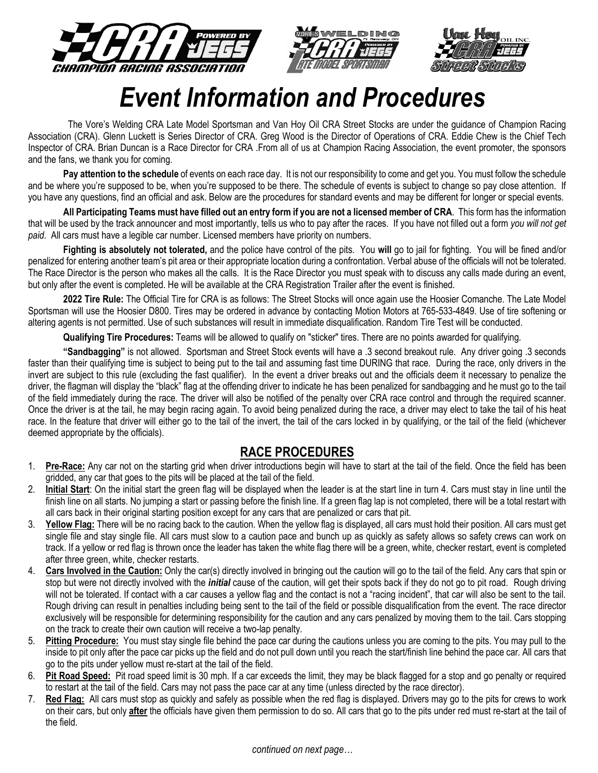





# *Event Information and Procedures*

 The Vore's Welding CRA Late Model Sportsman and Van Hoy Oil CRA Street Stocks are under the guidance of Champion Racing Association (CRA). Glenn Luckett is Series Director of CRA. Greg Wood is the Director of Operations of CRA. Eddie Chew is the Chief Tech Inspector of CRA. Brian Duncan is a Race Director for CRA .From all of us at Champion Racing Association, the event promoter, the sponsors and the fans, we thank you for coming.

**Pay attention to the schedule** of events on each race day. It is not our responsibility to come and get you. You must follow the schedule and be where you're supposed to be, when you're supposed to be there. The schedule of events is subject to change so pay close attention. If you have any questions, find an official and ask. Below are the procedures for standard events and may be different for longer or special events.

**All Participating Teams must have filled out an entry form if you are not a licensed member of CRA**. This form has the information that will be used by the track announcer and most importantly, tells us who to pay after the races. If you have not filled out a form *you will not get paid*. All cars must have a legible car number. Licensed members have priority on numbers.

**Fighting is absolutely not tolerated,** and the police have control of the pits. You **will** go to jail for fighting. You will be fined and/or penalized for entering another team's pit area or their appropriate location during a confrontation. Verbal abuse of the officials will not be tolerated. The Race Director is the person who makes all the calls. It is the Race Director you must speak with to discuss any calls made during an event, but only after the event is completed. He will be available at the CRA Registration Trailer after the event is finished.

**2022 Tire Rule:** The Official Tire for CRA is as follows: The Street Stocks will once again use the Hoosier Comanche. The Late Model Sportsman will use the Hoosier D800. Tires may be ordered in advance by contacting Motion Motors at 765-533-4849. Use of tire softening or altering agents is not permitted. Use of such substances will result in immediate disqualification. Random Tire Test will be conducted.

**Qualifying Tire Procedures:** Teams will be allowed to qualify on "sticker" tires. There are no points awarded for qualifying.

**"Sandbagging"** is not allowed. Sportsman and Street Stock events will have a .3 second breakout rule. Any driver going .3 seconds faster than their qualifying time is subject to being put to the tail and assuming fast time DURING that race. During the race, only drivers in the invert are subject to this rule (excluding the fast qualifier). In the event a driver breaks out and the officials deem it necessary to penalize the driver, the flagman will display the "black" flag at the offending driver to indicate he has been penalized for sandbagging and he must go to the tail of the field immediately during the race. The driver will also be notified of the penalty over CRA race control and through the required scanner. Once the driver is at the tail, he may begin racing again. To avoid being penalized during the race, a driver may elect to take the tail of his heat race. In the feature that driver will either go to the tail of the invert, the tail of the cars locked in by qualifying, or the tail of the field (whichever deemed appropriate by the officials).

# **RACE PROCEDURES**

- 1. **Pre-Race:** Any car not on the starting grid when driver introductions begin will have to start at the tail of the field. Once the field has been gridded, any car that goes to the pits will be placed at the tail of the field.
- 2. **Initial Start**: On the initial start the green flag will be displayed when the leader is at the start line in turn 4. Cars must stay in line until the finish line on all starts. No jumping a start or passing before the finish line. If a green flag lap is not completed, there will be a total restart with all cars back in their original starting position except for any cars that are penalized or cars that pit.
- 3. **Yellow Flag:** There will be no racing back to the caution. When the yellow flag is displayed, all cars must hold their position. All cars must get single file and stay single file. All cars must slow to a caution pace and bunch up as quickly as safety allows so safety crews can work on track. If a yellow or red flag is thrown once the leader has taken the white flag there will be a green, white, checker restart, event is completed after three green, white, checker restarts.
- 4. **Cars Involved in the Caution:** Only the car(s) directly involved in bringing out the caution will go to the tail of the field. Any cars that spin or stop but were not directly involved with the *initial* cause of the caution, will get their spots back if they do not go to pit road. Rough driving will not be tolerated. If contact with a car causes a yellow flag and the contact is not a "racing incident", that car will also be sent to the tail. Rough driving can result in penalties including being sent to the tail of the field or possible disqualification from the event. The race director exclusively will be responsible for determining responsibility for the caution and any cars penalized by moving them to the tail. Cars stopping on the track to create their own caution will receive a two-lap penalty.
- 5. **Pitting Procedure:** You must stay single file behind the pace car during the cautions unless you are coming to the pits. You may pull to the inside to pit only after the pace car picks up the field and do not pull down until you reach the start/finish line behind the pace car. All cars that go to the pits under yellow must re-start at the tail of the field.
- 6. **Pit Road Speed:** Pit road speed limit is 30 mph. If a car exceeds the limit, they may be black flagged for a stop and go penalty or required to restart at the tail of the field. Cars may not pass the pace car at any time (unless directed by the race director).
- 7. **Red Flag:** All cars must stop as quickly and safely as possible when the red flag is displayed. Drivers may go to the pits for crews to work on their cars, but only **after** the officials have given them permission to do so. All cars that go to the pits under red must re-start at the tail of the field.